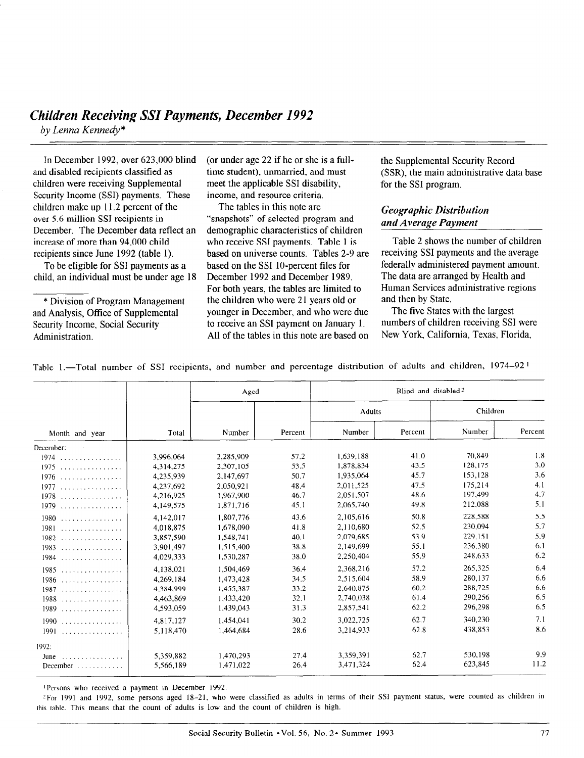In December 1992, over 623,000 blind and disabled recipients classified as children were receiving Supplemental Security Income (SSI) payments. These children make up 11.2 percent of the over 5.6 million SSI recipients in December. The December data reflect an increase of more than 94,000 child recipients since June 1992 (table 1).

To be eligible for SSI payments as a child, an individual must be under age 18

\* Division of Program Management and Analysis, Office of Supplemental Security Income, Social Security Administration.

(or under age 22 if he or she is a fulltime student), unmarried, and must meet the applicable SSI disability, income, and resource criteria.

The tables in this note are "snapshots" of selected program and demographic characteristics of children who receive SSI payments. Table 1 is based on universe counts. Tables 2-9 are based on the SSI lo-percent files for December 1992 and December 1989. For both years, the tables are limited to the children who were 21 years old or younger in December, and who were due to receive an SSI payment on January 1. All of the tables in this note are based on

the Supplemental Security Record (SSR), the main administrative data base for the SSI program.

# Geographic Distribution and Average Payment

Table 2 shows the number of children receiving SSI payments and the average federally administered payment amount. The data are arranged by Health and Human Services administrative regions and then by State.

The five States with the largest numbers of children receiving SSI were New York, California, Texas, Florida,

|  |  |  |  |  |  |  |  |  |  | Table 1.—Total number of SSI recipients, and number and percentage distribution of adults and children, $1974-92^{\circ}$ |  |  |  |  |  |
|--|--|--|--|--|--|--|--|--|--|---------------------------------------------------------------------------------------------------------------------------|--|--|--|--|--|
|--|--|--|--|--|--|--|--|--|--|---------------------------------------------------------------------------------------------------------------------------|--|--|--|--|--|

|                                 |           | Aged      |         | Blind and disabled <sup>2</sup> |         |          |         |  |  |
|---------------------------------|-----------|-----------|---------|---------------------------------|---------|----------|---------|--|--|
|                                 |           |           |         | Adults                          |         | Children |         |  |  |
| Month and year                  | Total     | Number    | Percent | Number                          | Percent | Number   | Percent |  |  |
| December:                       |           |           |         |                                 |         |          |         |  |  |
| $1974$                          | 3.996.064 | 2,285,909 | 57.2    | 1.639.188                       | 41.0    | 70.849   | 1.8     |  |  |
| 1975                            | 4.314,275 | 2,307,105 | 53.5    | 1,878,834                       | 43.5    | 128,175  | 3.0     |  |  |
|                                 | 4,235,939 | 2.147.697 | 50.7    | 1.935.064                       | 45.7    | 153,128  | 3.6     |  |  |
| 1977                            | 4,237,692 | 2.050.921 | 48.4    | 2,011,525                       | 47.5    | 175,214  | 4.1     |  |  |
| $1978$                          | 4,216,925 | 1,967,900 | 46.7    | 2.051.507                       | 48.6    | 197.499  | 4.7     |  |  |
|                                 | 4,149,575 | 1,871,716 | 45.1    | 2,065,740                       | 49.8    | 212,088  | 5.1     |  |  |
| 1980                            | 4.142.017 | 1,807,776 | 43.6    | 2,105,616                       | 50.8    | 228,588  | 5.5     |  |  |
| 1981                            | 4.018.875 | 1,678,090 | 41.8    | 2.110.680                       | 52.5    | 230.094  | 5.7     |  |  |
| $1982$                          | 3.857.590 | 1,548,741 | 40.1    | 2,079,685                       | 53.9    | 229,151  | 5.9     |  |  |
| $1983$                          | 3.901.497 | 1,515,400 | 38.8    | 2,149,699                       | 55.1    | 236,380  | 6.1     |  |  |
| $1984$                          | 4,029,333 | 1,530,287 | 38.0    | 2,250,404                       | 55.9    | 248.633  | 6.2     |  |  |
| 1985                            | 4.138,021 | 1.504,469 | 36.4    | 2,368,216                       | 57.2    | 265,325  | 6.4     |  |  |
|                                 | 4.269.184 | 1,473,428 | 34.5    | 2.515.604                       | 58.9    | 280,137  | 6.6     |  |  |
| 1987                            | 4,384,999 | 1,455,387 | 33.2    | 2,640,875                       | 60.2    | 288,725  | 6.6     |  |  |
| $1988$                          | 4,463,869 | 1,433,420 | 32.1    | 2,740,038                       | 61.4    | 290,256  | 6.5     |  |  |
| $1989$                          | 4,593,059 | 1,439,043 | 31.3    | 2,857,541                       | 62.2    | 296,298  | 6.5     |  |  |
| 1990                            | 4,817,127 | 1,454,041 | 30.2    | 3.022.725                       | 62.7    | 340,230  | 7.1     |  |  |
| 1991                            | 5,118,470 | 1.464.684 | 28.6    | 3,214,933                       | 62.8    | 438,853  | 8.6     |  |  |
| 1992:                           |           |           |         |                                 |         |          |         |  |  |
| June<br>. <i>.</i> .            | 5,359,882 | 1,470,293 | 27.4    | 3.359.391                       | 62.7    | 530,198  | 9.9     |  |  |
| December $\dots\dots\dots\dots$ | 5.566,189 | 1,471,022 | 26.4    | 3,471,324                       | 62.4    | 623,845  | 11.2    |  |  |

'Persons who received a payment in December 1992.

?For 1991 and 1992, some persons aged 18-21, who were classified as adults in terms of their SSI payment status, were counted as children in this table. This means that the count of adults is low and the count of children is high.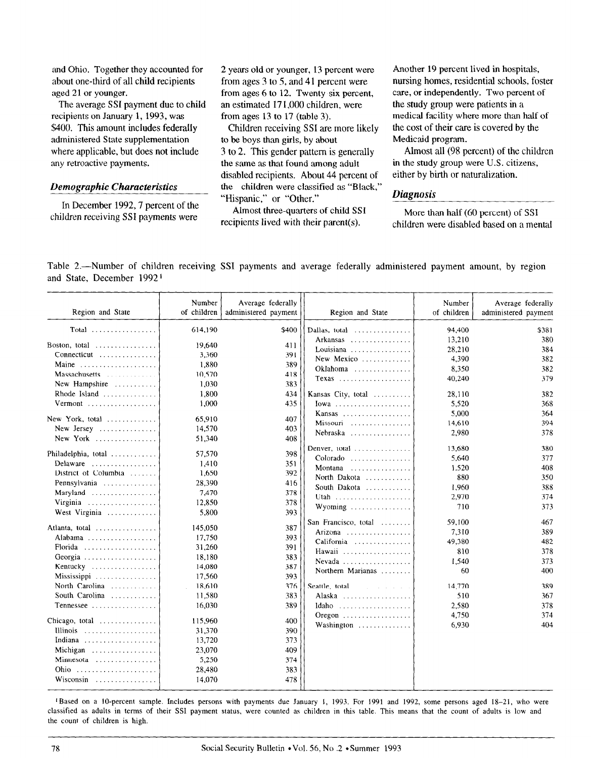and Ohio. Together they accounted for about one-third of all child recipients aged 21 or younger.

The average SSI payment due to child recipients on January 1, 1993, was \$400. This amount includes federally administered State supplementation where applicable, but does not include any retroactive payments.

### Demographic Characteristics

In December 1992,7 percent of the children receiving SSI payments were

2 years old or younger, 13 percent were from ages  $3$  to  $5$ , and  $41$  percent were from ages 6 to 12. Twenty-six percent, an estimated 17 1,000 children, were from ages 13 to 17 (table 3).

Children receiving SSI are more likely to be boys than girls, by about 3 to 2. This gender pattern is generally the same as that found among adult disabled recipients. About 44 percent of the children were classified as "Black," "Hispanic," or "Other."

Almost three-quarters of child SSI More than half (60 percent) of SSI

Another 19 percent lived in hospitals, nursing homes, residential schools, foster care, or independently. Two percent of the study group were patients in a medical facility where more than half of the cost of their care is covered by the Medicaid program.

Almost all (98 percent) of the children in the study group were U.S. citizens, either by birth or naturalization.

# **Diagnosis**

recipients lived with their parent(s). children were disabled based on a mental

Table 2.—Number of children receiving SSI payments and average federally administered payment amount, by region and State, December 1992 l

| Region and State                              | Number<br>of children | Average federally<br>administered payment | Region and State                            | Number<br>of children | Average federally<br>administered payment |
|-----------------------------------------------|-----------------------|-------------------------------------------|---------------------------------------------|-----------------------|-------------------------------------------|
|                                               | 614,190               | \$400                                     | Dallas, total                               | 94,400                | \$381                                     |
| Boston, total                                 | 19,640                | 411                                       | Arkansas<br>Louisiana                       | 13,210<br>28,210      | 380<br>384                                |
| Connecticut                                   | 3,360                 | 391                                       | New Mexico                                  | 4,390                 | 382                                       |
| Maine                                         | 1,880                 | 389                                       | $Oklahoma$                                  | 8,350                 | 382                                       |
| Massachusetts                                 | 10,570                | 418                                       | Texas                                       | 40,240                | 379                                       |
| New Hampshire                                 | 1,030                 | 383                                       |                                             |                       |                                           |
| Rhode Island $\ldots \ldots \ldots$           | 1,800                 | 434                                       | Kansas City, total                          | 28,110                | 382                                       |
| Vermont                                       | 1.000                 | 435                                       |                                             | 5,520                 | 368                                       |
| New York, total                               | 65,910                | 407                                       |                                             | 5.000                 | 364                                       |
| New Jersey                                    | 14,570                | 403                                       | Missouri                                    | 14,610                | 394                                       |
| New York                                      | 51,340                | 408                                       | Nebraska                                    | 2,980                 | 378                                       |
|                                               |                       |                                           | Denver, total                               | 13.680                | 380                                       |
| Philadelphia, total                           | 57,570                | 398                                       | Colorado                                    | 5.640                 | 377                                       |
| Delaware                                      | 1.410                 | 351                                       | Montana                                     | 1,520                 | 408                                       |
| District of Columbia                          | 1,650                 | 392                                       | North Dakota                                | 880                   | 350                                       |
| Pennsylvania                                  | 28,390                | 416                                       | South Dakota                                | 1,960                 | 388                                       |
| Maryland                                      | 7,470                 | 378                                       | Utah                                        | 2,970                 | 374                                       |
| Virginia                                      | 12,850                | 378                                       | Wyoming                                     | 710                   | 373                                       |
| West Virginia                                 | 5,800                 | 393                                       |                                             |                       |                                           |
| Atlanta, total                                | 145,050               | 387                                       | San Francisco, total                        | 59,100                | 467<br>389                                |
| Alabama                                       | 17,750                | 393                                       | Arizona                                     | 7,310                 |                                           |
| Florida                                       | 31,260                | 391                                       | California                                  | 49,380                | 482                                       |
| Georgia                                       | 18,180                | 383                                       | Hawaii                                      | 810                   | 378                                       |
| Kentucky                                      | 14,080                | 387                                       | Nevada                                      | 1.540                 | 373                                       |
| Mississippi                                   | 17,560                | 393                                       | Northern Marianas                           | 60                    | 400                                       |
| North Carolina                                | 18,610                | 376                                       | Seattle, total                              | 14,770                | 389                                       |
| South Carolina                                | 11,580                | 383                                       | Alaska                                      | 510                   | 367                                       |
| Tennessee                                     | 16,030                | 389                                       | Idaho                                       | 2.580                 | 378                                       |
|                                               |                       |                                           | Oregon $\ldots \ldots \ldots \ldots \ldots$ | 4,750                 | 374                                       |
| Chicago, total $\ldots \ldots \ldots$         | 115,960               | 400                                       | Washington                                  | 6.930                 | 404                                       |
| Illinois                                      | 31,370                | 390                                       |                                             |                       |                                           |
| Indiana                                       | 13,720                | 373                                       |                                             |                       |                                           |
| Michigan $\ldots \ldots \ldots \ldots \ldots$ | 23,070                | 409                                       |                                             |                       |                                           |
| Minnesota                                     | 5,250                 | 374                                       |                                             |                       |                                           |
|                                               | 28,480                | 383                                       |                                             |                       |                                           |
| Wisconsin                                     | 14,070                | 478                                       |                                             |                       |                                           |

<sup>1</sup>Based on a 10-percent sample. Includes persons with payments due January 1, 1993. For 1991 and 1992, some persons aged 18-21, who were classified as adults in terms of their SSI payment status, were counted as children in this table. This means that the count of adults is low and the count of children is high.

'Based on a IO-percent sample. Includes persons with payments due January I, 1993. For 1991 and 1992, some persons aged 18-21, who were

18 Social Security Bulletin l Vol. 56, No .2 l Summer 1993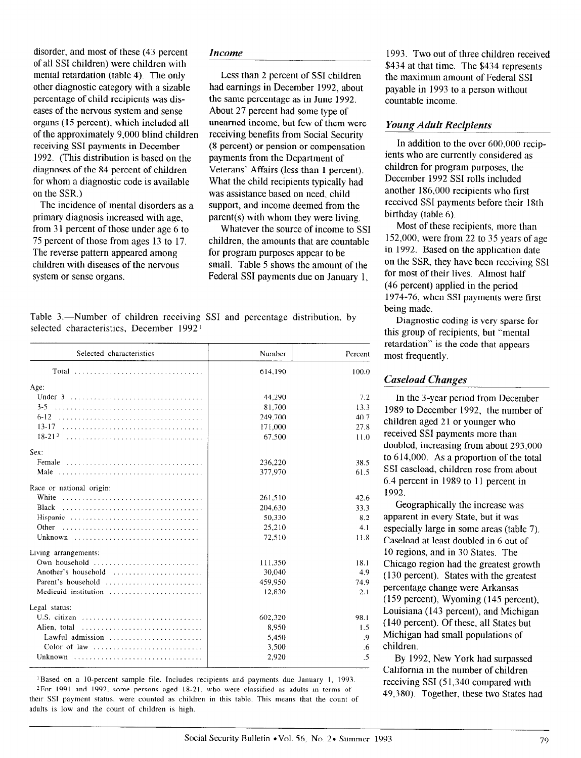disorder, and most of these (43 percent of all SSI children) were children with mental retardation (table 4). The only other diagnostic category with a sizable percentage of child recipients was diseases of the nervous system and sense organs (15 percent), which included all of the approximately 9,000 blind children receiving SSI payments in December 1992. (This distribution is based on the diagnoses of the 84 percent of children for whom a diagnostic code is available on the SSR.)

The incidence of mental disorders as a primary diagnosis increased with age, from 3 1 percent of those under age 6 to 75 percent of those from ages 13 to 17. The reverse pattern appeared among children with diseases of the nervous system or sense organs.

#### Income

Less than 2 percent of SSI children had earnings in December 1992, about the same percentage as in June 1992. About 27 percent had some type of unearned income, but few of them were receiving benefits from Social Security (8 percent) or pension or compensation payments from the Department of Veterans' Affairs (less than I percent). What the child recipients typically had was assistance based on need, child support, and income deemed from the parent(s) with whom they were living.

Whatever the source of income to SSI children, the amounts that are countable for program purposes appear to be small. Table 5 shows the amount of the Federal SSI payments due on January 1,

Table 3.—Number of children receiving SSI and percentage distribution, by selected characteristics, December 1992 1

| Selected characteristics                                                      | Number  | Percent |
|-------------------------------------------------------------------------------|---------|---------|
| Total                                                                         | 614,190 | 100.0   |
| Age:                                                                          |         |         |
|                                                                               | 44,290  | 7.2     |
| $3 - 5$                                                                       | 81,700  | 13.3    |
| $6 - 12$                                                                      | 249,700 | 40.7    |
| $13 - 17$                                                                     | 171,000 | 27.8    |
| $18-21^2$                                                                     | 67,500  | 11.0    |
| Sex:                                                                          |         |         |
| Female                                                                        | 236.220 | 38.5    |
| Male                                                                          | 377,970 | 61.5    |
| Race or national origin:                                                      |         |         |
| White                                                                         | 261.510 | 42.6    |
| Black                                                                         | 204.630 | 33.3    |
| Hispanic                                                                      | 50,330  | 8.2     |
| Other                                                                         | 25,210  | 4.1     |
| Unknown                                                                       | 72,510  | 11.8    |
| Living arrangements:                                                          |         |         |
| Own household $\ldots, \ldots, \ldots, \ldots, \ldots, \ldots, \ldots$        | 111.350 | 18.1    |
| Another's household                                                           | 30,040  | 4.9     |
| Parent's household $\ldots, \ldots, \ldots, \ldots, \ldots, \ldots$           | 459,950 | 74.9    |
| Medicaid institution                                                          | 12,830  | 2.1     |
| Legal status:                                                                 |         |         |
| U.S. citizen $\ldots \ldots \ldots \ldots \ldots \ldots \ldots \ldots$        | 602,320 | 98.1    |
| Alien, total $\ldots, \ldots, \ldots, \ldots, \ldots, \ldots, \ldots, \ldots$ | 8,950   | 1.5     |
| Lawful admission                                                              | 5,450   | .9      |
| Color of law                                                                  | 3.500   | .6      |
| Unknown                                                                       | 2,920   | .5      |

' Based on a IO-percent sample file. Includes recipients and payments due January 1, 1993. <sup>2</sup>For 1991 and 1992, some persons aged 18-21, who were classified as adults in terms of their SSI payment status, were counted as children in this table. This means that the count of adults is low and the count of children is high.

1993. Two out of three children received \$434 at that time. The \$434 represents the maximum amount of Federal SSI payable in 1993 to a person without countable income.

## Young Adult Recipients

In addition to the over 600,000 recipients who are currently considered as children for program purposes, the December 1992 SSI rolls included another 186,000 recipients who first received SSI payments before their 18th birthday (table 6).

Most of these recipients, more than  $152,000$ , were from 22 to 35 years of age in 1992. Based on the application date on the SSR, they have been receiving SSI for most of their lives. Almost half (46 percent) applied in the period 1974-76, when SSI payments were first being made.

Diagnostic coding is very sparse for this group of recipients, but "mental retardation" is the code that appears most frequently.

## Caseload Changes

In the 3-year period from December 1989 to December 1992, the number of children aged 21 or younger who received SSI payments more than doubled, increasing from about 293,000 to  $614,000$ . As a proportion of the total SSI caseload, children rose from about 6.4 percent in 1989 to 11 percent in 1992.

Geographically the increase was apparent in every State, but it was especially large in some areas (table 7). Caseload at least doubled in 6 out of 10 regions, and in 30 States. The Chicago region had the greatest growth (130 percent). States with the greatest percentage change were Arkansas ( 159 percent), Wyoming ( 145 percent), Louisiana (143 percent), and Michigan (140 percent). Of these, all States but Michigan had small populations of children.

By 1992, New York had surpassed California in the number of children receiving SSI (51,340 compared with 49,380). Together, these two States had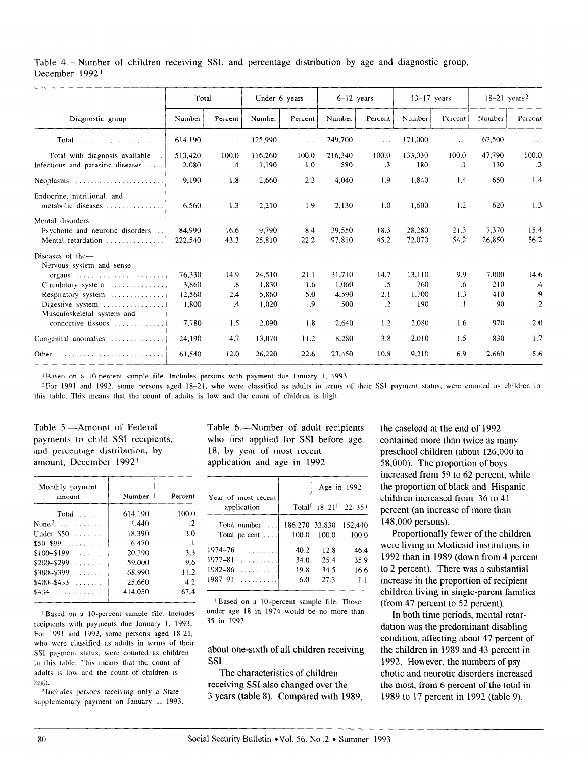Table 4.—Number of children receiving SSI, and percentage distribution by age and diagnostic group, December 1992 1

|                                                                                                                                                                                                                               | Total                                       |                                                               | Under 6 years                              |                                 | $6-12$ years                             |                                     | $13-17$ years                          |                                    | $18-21$ years <sup>2</sup>       |                                    |
|-------------------------------------------------------------------------------------------------------------------------------------------------------------------------------------------------------------------------------|---------------------------------------------|---------------------------------------------------------------|--------------------------------------------|---------------------------------|------------------------------------------|-------------------------------------|----------------------------------------|------------------------------------|----------------------------------|------------------------------------|
| Diagnostic group                                                                                                                                                                                                              | Number                                      | Percent                                                       | Number                                     | Percent                         | Number                                   | Percent                             | Number                                 | Percent                            | Number                           | Percent                            |
| Total                                                                                                                                                                                                                         | 614,190                                     | $\sim$ $\sim$ $\sim$                                          | 125,990                                    | $\ddotsc$                       | 249,700                                  | $\ddotsc$                           | 171,000                                | $\ddotsc$                          | 67,500                           | $\sim$ $\sim$                      |
| Total with diagnosis available<br>Infectious and parasitic diseases                                                                                                                                                           | 513,420<br>2,080                            | 100.0<br>$\overline{A}$                                       | 116,260<br>1,190                           | 100.0<br>1.0                    | 216,340<br>580                           | 100.0<br>$\cdot$ 3                  | 133,030<br>180                         | 100.0<br>$\cdot$                   | 47,790<br>130                    | 100.0<br>$\cdot$ 3                 |
| Neoplasms $\ldots \ldots \ldots \ldots \ldots \ldots$                                                                                                                                                                         | 9.190                                       | 1.8                                                           | 2,660                                      | 2.3                             | 4,040                                    | 1.9                                 | 1,840                                  | 1.4                                | 650                              | 1.4                                |
| Endocrine, nutritional, and<br>metabolic diseases                                                                                                                                                                             | 6,560                                       | 1.3                                                           | 2,210                                      | 1.9                             | 2.130                                    | 1.0                                 | 1,600                                  | 1.2                                | 620                              | 1.3                                |
| Mental disorders:<br>Psychotic and neurotic disorders<br>Mental retardation                                                                                                                                                   | 84,990<br>222,540                           | 16.6<br>43.3                                                  | 9.790<br>25,810                            | 84<br>22.2                      | 39,550<br>97,810                         | 18.3<br>45.2                        | 28,280<br>72,070                       | 21.3<br>54.2                       | 7,370<br>26,850                  | 15.4<br>56.2                       |
| Diseases of the-<br>Nervous system and sense<br>organs $\ldots \ldots \ldots \ldots \ldots \ldots \ldots$<br>Circulatory system<br>Respiratory system<br>Digestive system<br>Musculoskeletal system and<br>connective tissues | 76,330<br>3,860<br>12,560<br>1.800<br>7.780 | 14.9<br>$\cdot$ <sup>8</sup> .<br>2,4<br>$\mathcal{A}$<br>1.5 | 24,510<br>1,830<br>5,860<br>1,020<br>2,090 | 21.1<br>1.6<br>5.0<br>.9<br>1.8 | 31,710<br>1,060<br>4.590<br>500<br>2,640 | 14.7<br>.5<br>2.1<br>$\cdot$<br>1.2 | 13,110<br>760<br>1,700<br>190<br>2,080 | 9.9<br>.6<br>1.3<br>$\cdot$<br>1.6 | 7.000<br>210<br>410<br>90<br>970 | 14.6<br>.4<br>.9<br>$\cdot$<br>2.0 |
| Congenital anomalies                                                                                                                                                                                                          | 24,190                                      | 4.7                                                           | 13.070                                     | 11.2                            | 8,280                                    | 3.8                                 | 2.010                                  | 1.5                                | 830                              | 1.7                                |
|                                                                                                                                                                                                                               | 61,540                                      | 12.0                                                          | 26,220                                     | 22.6                            | 23,450                                   | 10.8                                | 9,210                                  | 6.9                                | 2,660                            | 5.6                                |

<sup>1</sup>Based on a 10-percent sample file. Includes persons with payment due January 1, 1993.

?For 1991 and 1992, some persons aged 18-21, who were classified as adults in terms of their SSI payment status, were counted as children in this table. This means that the count of adults is low and the count of children is high.

and percentage distribution, by 18, by year of most recent amount, December 1992<sup>1</sup> application and age in 1992

| Monthly payment<br>amount | Number  | Percent |
|---------------------------|---------|---------|
| Total<br>$\sim$           | 614.190 | 100.0   |
| None <sup>2</sup><br>.    | 1.440   | -2      |
| Under \$50<br>.           | 18.390  | 3.0     |
| $$50 - $99$<br>.          | 6.470   | 1.1     |
| \$100-\$199<br>.          | 20.190  | 3.3     |
| \$200-\$299<br>.          | 59,000  | 9.6     |
| \$300-\$399<br>.          | 68.990  | 11.2    |
| \$400-\$433<br>.          | 25.660  | 4.2     |
| \$434                     | 414,050 | 67.4    |

1 Based on a lo-percent sample file. Includes recipients with payments due January 1, 1993. For 1991 and 1992, some persons aged 18-21, who were classified as adults in terms of their SSI payment status, were counted as children in this table. This means that the count of adults is low and the count of children is high.

'Includes persons receiving only a State supplementary payment on January 1, 1993.

Table 5.—Amount of Federal Table 6.—Number of adult recipients payments to child SSI recipients, who first applied for SSI before age

|                                    |                | Age in 1992 |            |  |
|------------------------------------|----------------|-------------|------------|--|
| Year of most recent<br>application | Total          | $18 - 21$   | $22 - 351$ |  |
| Total number<br>$\ddotsc$          | 186,270 33,830 |             | 152,440    |  |
| Total percent                      | 100.0          | 100.0       | 100.0      |  |
| 1974–76                            | 40.2           | 12.8        | 46.4       |  |
| 1977–81                            | 34.0           | 25.4        | 35.9       |  |
| 1982–86<br>. . <b>.</b>            | 19.8           | 34.5        | 16.6       |  |
| 1987-91                            | 6.0            | 27.3        | ΙJ         |  |

'Based on a lo-percent sample file. Those under age 18 in 1974 would be no more than 35 in 1992.

about one-sixth of all children receiving SSI.

The characteristics of children receiving SSI also changed over the 3 years (table 8). Compared with 1989, the caseload at the end of 1992 contained more than twice as many preschool children (about 126,000 to 58,000). The proportion of boys increased from 59 to 62 percent, while the proportion of black and Hispanic children increased from 36 to 41 percent (an increase of more than 148,000 persons).

Proportionally fewer of the children were living in Medicaid institutions in 1992 than in 1989 (down from 4 percent to 2 percent). There was a substantial increase in the proportion of recipient children living in single-parent families (from 47 percent to 52 percent).

In both time periods, mental retardation was the predominant disabling condition, affecting about 47 percent of the children in 1989 and 43 percent in 1992. However, the numbers of psychotic and neurotic disorders increased the most, from 6 percent of the total in 1989 to 17 percent in 1992 (table 9).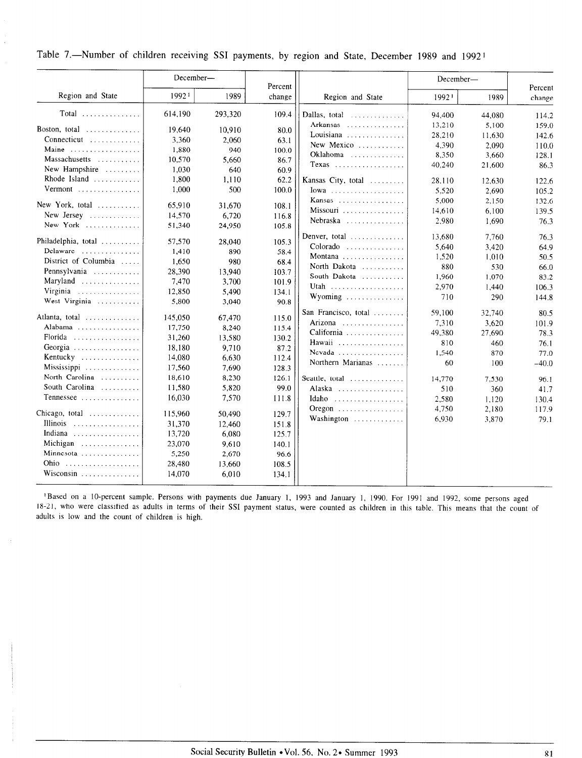Table 7.-Number of children receiving SSI payments, by region and State, December 1989 and 1992<sup>1</sup>

|                                       | December-       |               | Percent |                                                | December- |        |                   |
|---------------------------------------|-----------------|---------------|---------|------------------------------------------------|-----------|--------|-------------------|
| Region and State                      | 19921           | 1989          | change  | Region and State                               | 19921     | 1989   | Percent<br>change |
| $Total$                               | 614,190         | 293,320       | 109.4   | Dallas, total                                  | 94,400    | 44,080 | 114.2             |
| Boston, total                         | 19.640          | 10,910        | 80.0    | Arkansas                                       | 13,210    | 5,100  | 159.0             |
| Connecticut                           | 3.360           | 2,060         | 63.1    | Louisiana                                      | 28,210    | 11,630 | 142.6             |
| Maine                                 | 1,880           | 940           | 100.0   | New Mexico                                     | 4,390     | 2,090  | 110.0             |
| Massachusetts                         | 10,570          | 5,660         | 86.7    | Oklahoma                                       | 8,350     | 3,660  | 128.1             |
| New Hampshire                         | 1.030           | 640           | 60.9    | Texas                                          | 40,240    | 21,600 | 86.3              |
| Rhode Island                          | 1,800           | 1,110         | 62.2    | Kansas City, total                             | 28,110    | 12,630 | 122.6             |
| Vermont                               | 1,000           | 500           | 100.0   |                                                | 5.520     | 2.690  | 105.2             |
|                                       |                 |               |         |                                                | 5.000     | 2,150  | 132.6             |
| New York, total                       | 65,910          | 31,670        | 108.1   | Missouri                                       | 14,610    | 6,100  | 139.5             |
| New Jersey                            | 14,570          | 6,720         | 116.8   | Nebraska                                       | 2,980     | 1,690  |                   |
| New York                              | 51,340          | 24,950        | 105.8   |                                                |           |        | 76.3              |
| Philadelphia, total                   |                 |               |         | Denver, total $\ldots \ldots \ldots$           | 13.680    | 7.760  | 76.3              |
| Delaware                              | 57,570<br>1,410 | 28,040<br>890 | 105.3   | Colorado                                       | 5,640     | 3,420  | 64.9              |
| District of Columbia                  | 1,650           | 980           | 58.4    | Montana                                        | 1,520     | 1,010  | 50.5              |
|                                       |                 |               | 68.4    | North Dakota                                   | 880       | 530    | 66.0              |
| Pennsylvania                          | 28,390<br>7,470 | 13,940        | 103.7   | South Dakota                                   | 1,960     | 1.070  | 83.2              |
| Maryland                              |                 | 3,700         | 101.9   |                                                | 2,970     | 1,440  | 106.3             |
| Virginia                              | 12,850          | 5,490         | 134.1   | Wyoming                                        | 710       | 290    | 144.8             |
| West Virginia                         | 5,800           | 3,040         | 90.8    |                                                |           |        |                   |
| Atlanta, total $\ldots$ , , ,         | 145,050         | 67,470        | 115.0   | San Francisco, total                           | 59.100    | 32,740 | 80.5              |
| Alabama                               | 17,750          | 8,240         | 115.4   | Arizona                                        | 7,310     | 3.620  | 101.9             |
| Florida                               | 31,260          | 13,580        | 130.2   | California                                     | 49,380    | 27,690 | 78.3              |
| Georgia                               | 18,180          | 9.710         | 87.2    | Hawaii                                         | 810       | 460    | 76.1              |
| Kentucky                              | 14,080          | 6.630         | 112.4   | Nevada                                         | 1,540     | 870    | 77.0              |
| Mississippi                           | 17,560          | 7,690         | 128.3   | Northern Marianas                              | 60        | 100    | $-40.0$           |
| North Carolina                        | 18,610          | 8,230         | 126.1   | Seattle, total $\ldots$                        | 14,770    | 7,530  | 96.1              |
| South Carolina                        | 11,580          | 5,820         | 99.0    | Alaska                                         | 510       | 360    | 41.7              |
| Tennessee                             | 16,030          | 7,570         | 111.8   | Idaho                                          | 2,580     | 1,120  | 130.4             |
|                                       |                 |               |         | $O$ regon $\ldots \ldots \ldots \ldots \ldots$ | 4,750     | 2,180  | 117.9             |
| Chicago, total $\ldots \ldots \ldots$ | 115,960         | 50,490        | 129.7   | Washington                                     | 6,930     | 3,870  | 79.1              |
| Illinois                              | 31,370          | 12,460        | 151.8   |                                                |           |        |                   |
| Indiana                               | 13,720          | 6,080         | 125.7   |                                                |           |        |                   |
| Michigan                              | 23,070          | 9,610         | 140.1   |                                                |           |        |                   |
| Minnesota                             | 5,250           | 2,670         | 96.6    |                                                |           |        |                   |
|                                       | 28,480          | 13,660        | 108.5   |                                                |           |        |                   |
| Wisconsin                             | 14,070          | 6,010         | 134.1   |                                                |           |        |                   |
|                                       |                 |               |         |                                                |           |        |                   |

<sup>1</sup>Based on a 10-percent sample. Persons with payments due January 1, 1993 and January 1, 1990. For 1991 and 1992, some persons aged 18-21, who were classified as adults in terms of their SSI payment status, were counted as children in this table. This means that the count of adults is low and the count of children is high.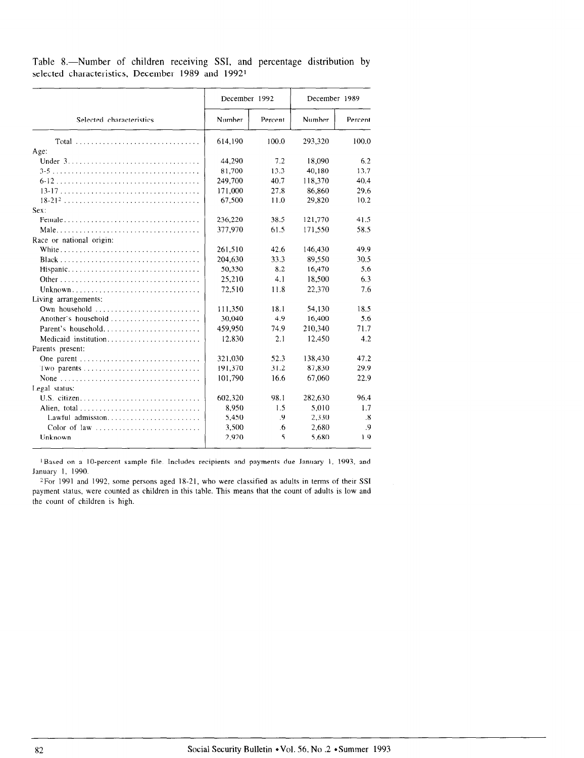Table 8.-Number of children receiving SSI, and percentage distribution by selected characteristics, December 1989 and 19921

|                          | December 1992 |         | December 1989 |                      |  |
|--------------------------|---------------|---------|---------------|----------------------|--|
| Selected characteristics | Number        | Percent | Number        | Percent              |  |
|                          | 614,190       | 100.0   | 293,320       | 100.0                |  |
| Age:                     |               |         |               |                      |  |
|                          | 44,290        | 7.2     | 18,090        | 6.2                  |  |
|                          | 81,700        | 13.3    | 40.180        | 13.7                 |  |
|                          | 249,700       | 40.7    | 118.370       | 40.4                 |  |
|                          | 171,000       | 27.8    | 86,860        | 29.6                 |  |
|                          | 67,500        | 11.0    | 29.820        | 10.2                 |  |
| Sex:                     |               |         |               |                      |  |
|                          | 236,220       | 38.5    | 121,770       | 41.5                 |  |
|                          | 377,970       | 61.5    | 171.550       | 58.5                 |  |
| Race or national origin: |               |         |               |                      |  |
|                          | 261,510       | 42.6    | 146,430       | 49.9                 |  |
|                          | 204,630       | 33.3    | 89,550        | 30.5                 |  |
| Hispanic                 | 50,330        | 8.2     | 16,470        | 5.6                  |  |
|                          | 25,210        | 4.1     | 18.500        | 6.3                  |  |
| Unknown                  | 72.510        | 11.8    | 22.370        | 7.6                  |  |
| Living arrangements:     |               |         |               |                      |  |
| Own household            | 111,350       | 18.1    | 54,130        | 18.5                 |  |
| Another's household      | 30,040        | 4.9     | 16,400        | 5.6                  |  |
| Parent's household       | 459,950       | 74.9    | 210,340       | 71.7                 |  |
| Medicaid institution     | 12.830        | 2.1     | 12,450        | 4.2                  |  |
| Parents present:         |               |         |               |                      |  |
|                          | 321.030       | 52.3    | 138.430       | 47.2                 |  |
|                          | 191,370       | 31.2    | 87,830        | 29.9                 |  |
|                          | 101,790       | 16.6    | 67,060        | 22.9                 |  |
| Legal status:            |               |         |               |                      |  |
|                          | 602,320       | 98.1    | 282,630       | 96.4                 |  |
| Alien, total             | 8.950         | 1.5     | 5.010         | 1.7                  |  |
|                          | 5,450         | .9      | 2,330         | $\cdot$ <sub>8</sub> |  |
| Color of law             | 3,500         | .6      | 2.680         | $\cdot$ 9            |  |
| Unknown                  | 2,920         | .5      | 5.680         | 1.9                  |  |

pased on a 1  $\frac{F}{\sigma}$  1990.

 $\epsilon$  por 1991 and 1992, some persons aged 18-21, who were classified as adults in terms of their SSI payment status, were counted as children in this table. This means that the count of adults is low and the count of children is high.

82 Social Security Bulletin \*Vol. 56, No .2 \*Summer 1993